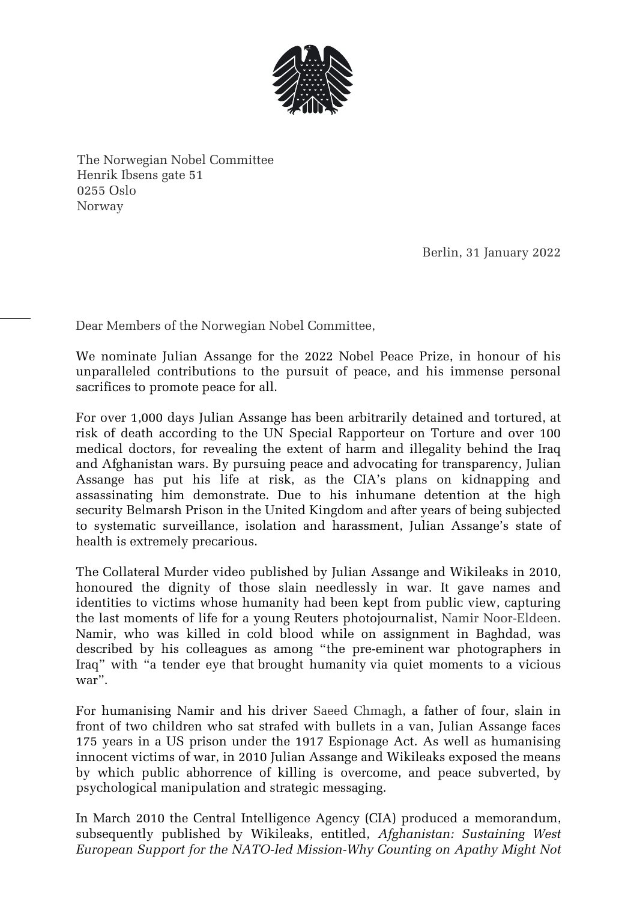

The Norwegian Nobel Committee Henrik Ibsens gate 51 0255 Oslo Norway

Berlin, 31 January 2022

Dear Members of the Norwegian Nobel Committee,

We nominate Julian Assange for the 2022 Nobel Peace Prize, in honour of his unparalleled contributions to the pursuit of peace, and his immense personal sacrifices to promote peace for all.

For over 1,000 days Julian Assange has been arbitrarily detained and tortured, at risk of death according to the UN Special Rapporteur on Torture and over 100 medical doctors, for revealing the extent of harm and illegality behind the Iraq and Afghanistan wars. By pursuing peace and advocating for transparency, Julian Assange has put his life at risk, as the CIA's plans on kidnapping and assassinating him demonstrate. Due to his inhumane detention at the high security Belmarsh Prison in the United Kingdom and after years of being subjected to systematic surveillance, isolation and harassment, Julian Assange's state of health is extremely precarious.

The Collateral Murder video published by Julian Assange and Wikileaks in 2010, honoured the dignity of those slain needlessly in war. It gave names and identities to victims whose humanity had been kept from public view, capturing the last moments of life for a young Reuters photojournalist, Namir Noor-Eldeen. Namir, who was killed in cold blood while on assignment in Baghdad, was described by his colleagues as among "[the pre-eminent](https://www.truthdig.com/articles/collateral-murder-in-iraq/) war photographers in Iraq" with "a tender eye that [brought humanity](https://www.dailykos.com/stories/2010/4/7/854709/-) via quiet moments to a vicious war".

For humanising Namir and his driver Saeed Chmagh, a father of four, slain in front of two children who sat strafed with bullets in a van, Julian Assange faces 175 years in a US prison under the 1917 Espionage Act. As well as humanising innocent victims of war, in 2010 Julian Assange and Wikileaks exposed the means by which public abhorrence of killing is overcome, and peace subverted, by psychological manipulation and strategic messaging.

In March 2010 the Central Intelligence Agency (CIA) produced a [memorandum,](https://file.wikileaks.org/file/cia-afghanistan.pdf) subsequently published by Wikileaks, entitled, *Afghanistan: Sustaining West European Support for the NATO-led Mission-Why Counting on Apathy Might Not*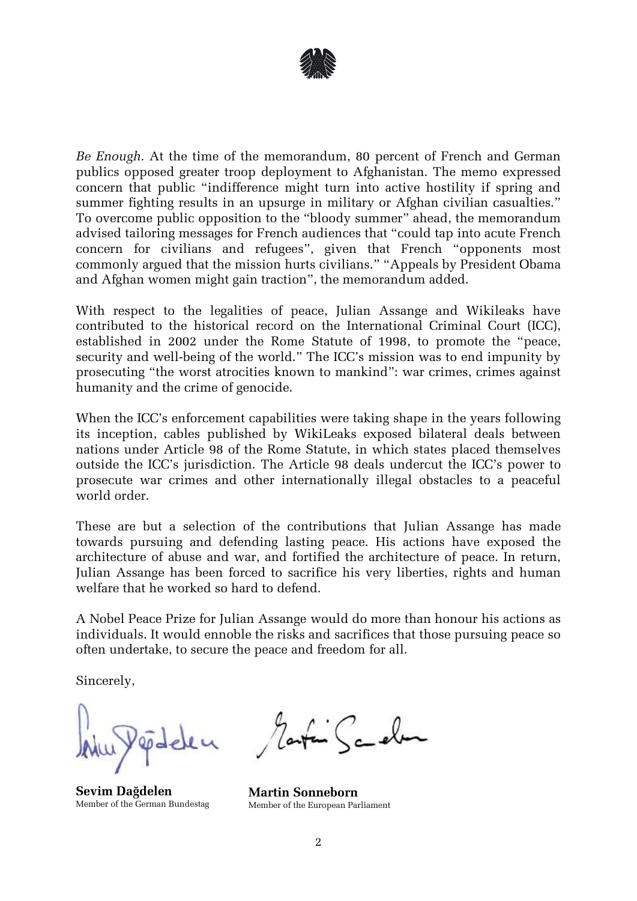

*Be Enough.* At the time of the memorandum, 80 percent of French and German publics opposed greater troop deployment to Afghanistan. The memo expressed concern that public "indifference might turn into active hostility if spring and summer fighting results in an upsurge in military or Afghan civilian casualties." To overcome public opposition to the "bloody summer" ahead, the memorandum advised tailoring messages for French audiences that "could tap into acute French concern for civilians and refugees", given that French "opponents most commonly argued that the mission hurts civilians." "Appeals by President Obama and Afghan women might gain traction", the memorandum added.

With respect to the legalities of peace, Julian Assange and Wikileaks have contributed to the historical record on the International Criminal Court (ICC), established in 2002 under the [Rome Statute of 1998](https://www.icc-cpi.int/nr/rdonlyres/ea9aeff7-5752-4f84-be94-0a655eb30e16/0/rome_statute_english.pdf), to promote the "peace, security and well-being of the world." The ICC's mission was to end impunity by prosecuting "the [worst atrocities](https://www.un.org/en/chronicle/article/role-international-criminal-court-ending-impunity-and-establishing-rule-law) known to mankind": war crimes, crimes against humanity and the crime of genocide.

When the ICC's enforcement capabilities were taking shape in the years following its inception, cables published by WikiLeaks exposed bilateral deals between nations under Article 98 of the Rome Statute, in which states placed themselves outside the ICC's jurisdiction. The Article 98 deals undercut the ICC's power to prosecute war crimes and other internationally illegal obstacles to a peaceful world order.

These are but a selection of the contributions that Julian Assange has made towards pursuing and defending lasting peace. His actions have exposed the architecture of abuse and war, and fortified the architecture of peace. In return, Julian Assange has been forced to sacrifice his very liberties, rights and human welfare that he worked so hard to defend.

A Nobel Peace Prize for Julian Assange would do more than honour his actions as individuals. It would ennoble the risks and sacrifices that those pursuing peace so often undertake, to secure the peace and freedom for all.

Sincerely,

**Sevim Dağdelen** Member of the German Bundestag

<u>L'Ecolor</u>

**Martin Sonneborn** Member of the European Parliament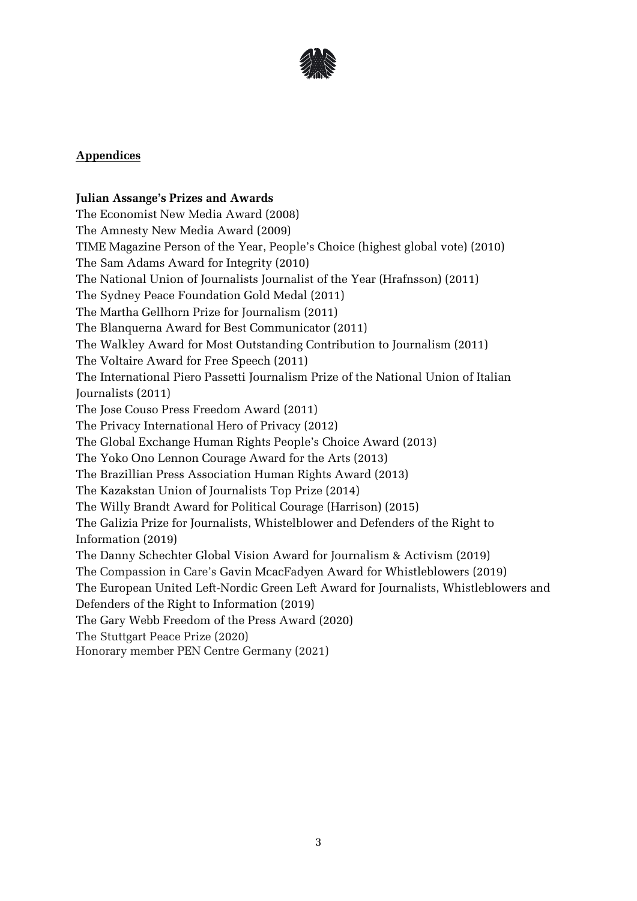

## **Appendices**

## **Julian Assange's Prizes and Awards**

The Economist New Media Award (2008) The Amnesty New Media Award (2009) TIME Magazine Person of the Year, People's Choice (highest global vote) (2010) The Sam Adams Award for Integrity (2010) The National Union of Journalists Journalist of the Year (Hrafnsson) (2011) The Sydney Peace Foundation Gold Medal (2011) The Martha Gellhorn Prize for Journalism (2011) The Blanquerna Award for Best Communicator (2011) The Walkley Award for Most Outstanding Contribution to Journalism (2011) The Voltaire Award for Free Speech (2011) The International Piero Passetti Journalism Prize of the National Union of Italian Journalists (2011) The Jose Couso Press Freedom Award (2011) The Privacy International Hero of Privacy (2012) The Global Exchange Human Rights People's Choice Award (2013) The Yoko Ono Lennon Courage Award for the Arts (2013) The Brazillian Press Association Human Rights Award (2013) The Kazakstan Union of Journalists Top Prize (2014) The Willy Brandt Award for Political Courage (Harrison) (2015) The Galizia Prize for Journalists, Whistelblower and Defenders of the Right to Information (2019) The Danny Schechter Global Vision Award for Journalism & Activism (2019) The Compassion in Care's Gavin McacFadyen Award for Whistleblowers (2019) The European United Left-Nordic Green Left Award for Journalists, Whistleblowers and Defenders of the Right to Information (2019) The Gary Webb Freedom of the Press Award (2020) The Stuttgart Peace Prize (2020) Honorary member PEN Centre Germany (2021)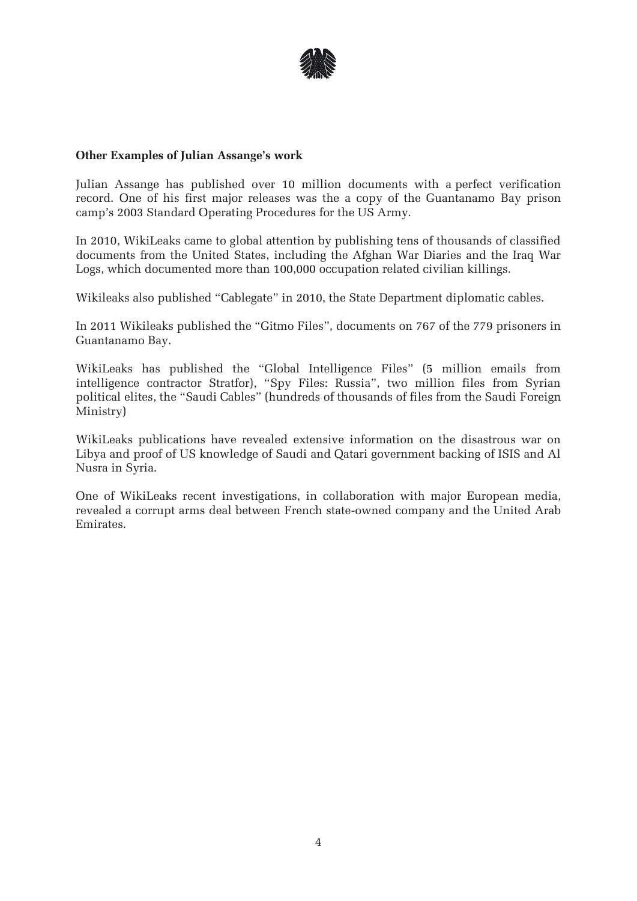

## **Other Examples of Julian Assange's work**

Julian Assange has published over 10 million documents with a perfect verification record. One of his first major releases was the a copy of the Guantanamo Bay prison camp's 2003 Standard Operating Procedures for the US Army.

In 2010, WikiLeaks came to global attention by publishing tens of thousands of classified documents from the United States, including the Afghan War Diaries and the Iraq War Logs, which documented more than 100,000 occupation related civilian killings.

Wikileaks also published "Cablegate" in 2010, the State Department diplomatic cables.

In 2011 Wikileaks published the "Gitmo Files", documents on 767 of the 779 prisoners in Guantanamo Bay.

WikiLeaks has published the "Global Intelligence Files" (5 million emails from intelligence contractor Stratfor), "Spy Files: Russia", two million files from Syrian political elites, the "Saudi Cables" (hundreds of thousands of files from the Saudi Foreign Ministry)

WikiLeaks publications have revealed extensive information on the disastrous war on Libya and proof of US knowledge of Saudi and Qatari government backing of ISIS and Al Nusra in Syria.

One of WikiLeaks recent investigations, in collaboration with major European media, revealed a corrupt arms deal between French state-owned company and the United Arab Emirates.